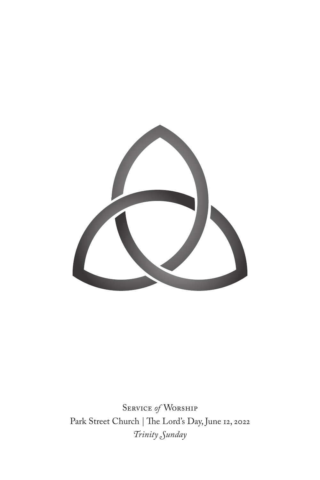

Service *of* Worship Park Street Church | The Lord's Day, June 12, 2022 *Trinity Sunday*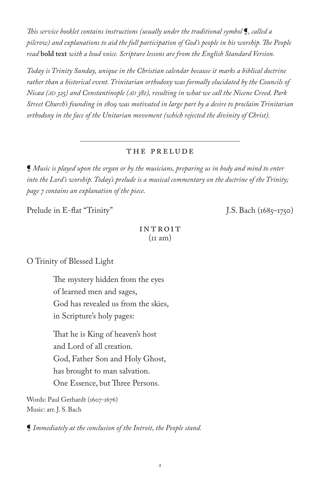*This service booklet contains instructions (usually under the traditional symbol* ¶*, called a pilcrow) and explanations to aid the full participation of God's people in his worship. The People read* **bold text** *with a loud voice. Scripture lessons are from the English Standard Version.*

*Today is Trinity Sunday, unique in the Christian calendar because it marks a biblical doctrine rather than a historical event. Trinitarian orthodoxy was formally elucidated by the Councils of Nicæa (ad 325) and Constantinople (ad 381), resulting in what we call the Nicene Creed. Park Street Church's founding in 1809 was motivated in large part by a desire to proclaim Trinitarian orthodoxy in the face of the Unitarian movement (which rejected the divinity of Christ).*

## the prelude

¶ *Music is played upon the organ or by the musicians, preparing us in body and mind to enter into the Lord's worship. Today's prelude is a musical commentary on the doctrine of the Trinity; page 7 contains an explanation of the piece.*

Prelude in E-flat "Trinity" J.S. Bach (1685–1750)

## **INTROIT**  $(\text{II am})$

O Trinity of Blessed Light

The mystery hidden from the eyes of learned men and sages, God has revealed us from the skies, in Scripture's holy pages:

That he is King of heaven's host and Lord of all creation. God, Father Son and Holy Ghost, has brought to man salvation. One Essence, but Three Persons.

Words: Paul Gerhardt (1607-1676) Music: arr. J. S. Bach

¶ *Immediately at the conclusion of the Introit, the People stand.*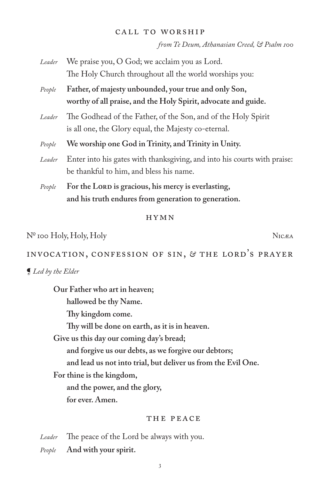#### call to worship

*from Te Deum, Athanasian Creed, & Psalm 100*

| Leader | We praise you, O God; we acclaim you as Lord.<br>The Holy Church throughout all the world worships you:                 |
|--------|-------------------------------------------------------------------------------------------------------------------------|
| People | Father, of majesty unbounded, your true and only Son,<br>worthy of all praise, and the Holy Spirit, advocate and guide. |
| Leader | The Godhead of the Father, of the Son, and of the Holy Spirit<br>is all one, the Glory equal, the Majesty co-eternal.   |
| People | We worship one God in Trinity, and Trinity in Unity.                                                                    |
| Leader | Enter into his gates with thanksgiving, and into his courts with praise:<br>be thankful to him, and bless his name.     |
| People | For the LORD is gracious, his mercy is everlasting,<br>and his truth endures from generation to generation.             |

## hymn

# № 100 Holy, Holy, Holy Nicæa

INVOCATION, CONFESSION OF SIN, *&* THE LORD'S PRAYER

#### ¶ *Led by the Elder*

**Our Father who art in heaven; hallowed be thy Name. Thy kingdom come. Thy will be done on earth, as it is in heaven. Give us this day our coming day's bread; and forgive us our debts, as we forgive our debtors; and lead us not into trial, but deliver us from the Evil One. For thine is the kingdom, and the power, and the glory, for ever. Amen.**

## THE PEACE

*Leader* The peace of the Lord be always with you.

*People* **And with your spirit.**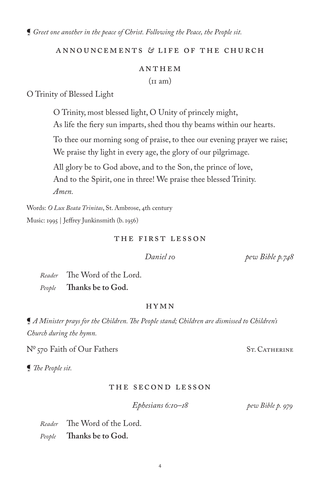¶ *Greet one another in the peace of Christ. Following the Peace, the People sit.*

## Announcements *&* LIFE OF THE CHURCH

# ANTHEM  $(in am)$

O Trinity of Blessed Light

O Trinity, most blessed light, O Unity of princely might,

As life the fiery sun imparts, shed thou thy beams within our hearts.

To thee our morning song of praise, to thee our evening prayer we raise; We praise thy light in every age, the glory of our pilgrimage.

All glory be to God above, and to the Son, the prince of love,

And to the Spirit, one in three! We praise thee blessed Trinity.

*Amen.*

Words: *O Lux Beata Trinitas*, St. Ambrose, 4th century Music: 1995 | Jeffrey Junkinsmith (b. 1956)

## The First Lesson

 *Daniel 10 pew Bible p.748*

*Reader* The Word of the Lord. *People* **Thanks be to God.**

## HYMN

¶ *A Minister prays for the Children. The People stand; Children are dismissed to Children's Church during the hymn.*

Nº 570 Faith of Our Fathers St. CATHERINE

¶ *The People sit.*

## The Second Lesson

 *Ephesians 6:10–18 pew Bible p. 979*

*Reader* The Word of the Lord.

*People* **Thanks be to God.**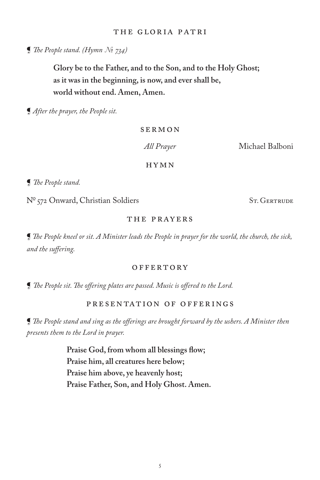## the Gloria Patri

¶ *The People stand. (Hymn № 734)*

**Glory be to the Father, and to the Son, and to the Holy Ghost; as it was in the beginning, is now, and ever shall be, world without end. Amen, Amen.**

¶ *After the prayer, the People sit.*

#### SERMON

 *All Prayer* Michael Balboni

HYMN

¶ *The People stand.*

Nº 572 Onward, Christian Soldiers St. GERTRUDE

#### THE PRAYERS

¶ *The People kneel or sit. A Minister leads the People in prayer for the world, the church, the sick, and the suffering.*

#### **OFFERTORY**

¶ *The People sit. The offering plates are passed. Music is offered to the Lord.* 

# Presentation of Offerings

¶ *The People stand and sing as the offerings are brought forward by the ushers. A Minister then presents them to the Lord in prayer.*

> **Praise God, from whom all blessings flow; Praise him, all creatures here below; Praise him above, ye heavenly host; Praise Father, Son, and Holy Ghost. Amen.**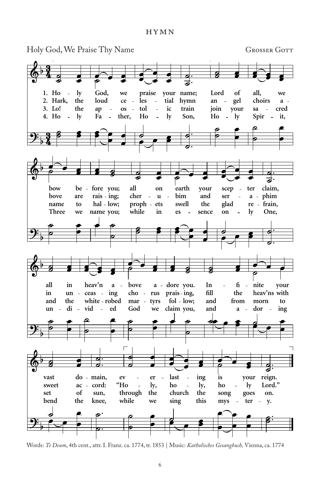HYMN



Words: *Te Deum*, 4th cent., attr. I. Franz. ca. 1774, tr. 1853 | Music: *Katholisches Gesangbuch,* Vienna, ca. 1774  $t_{\text{new}}$ , and  $t_{\text{new}}$ ,  $t_{\text{new}}$ ,  $t_{\text{new}}$ ,  $t_{\text{new}}$ ,  $t_{\text{new}}$ ,  $t_{\text{new}}$ ,  $t_{\text{new}}$ ,  $t_{\text{new}}$ ,  $t_{\text{new}}$ ,  $t_{\text{new}}$ ,  $t_{\text{new}}$ ,  $t_{\text{new}}$ ,  $t_{\text{new}}$ ,  $t_{\text{new}}$ ,  $t_{\text{new}}$ ,  $t_{\text{new}}$ ,  $t_{\text{new}}$ ,  $t_{\text{new}}$ ,  $t_{\text{new}}$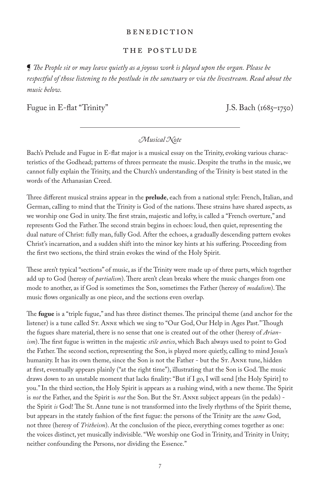#### BENEDICTION

#### The POSTLUDE

¶ *The People sit or may leave quietly as a joyous work is played upon the organ. Please be respectful of those listening to the postlude in the sanctuary or via the livestream. Read about the music below.*

Fugue in E-flat "Trinity" J.S. Bach (1685–1750)

#### *Musical Note*

Bach's Prelude and Fugue in E-flat major is a musical essay on the Trinity, evoking various characteristics of the Godhead; patterns of threes permeate the music. Despite the truths in the music, we cannot fully explain the Trinity, and the Church's understanding of the Trinity is best stated in the words of the Athanasian Creed.

Three different musical strains appear in the **prelude**, each from a national style: French, Italian, and German, calling to mind that the Trinity is God of the nations. These strains have shared aspects, as we worship one God in unity. The first strain, majestic and lofty, is called a "French overture," and represents God the Father. The second strain begins in echoes: loud, then quiet, representing the dual nature of Christ: fully man, fully God. After the echoes, a gradually descending pattern evokes Christ's incarnation, and a sudden shift into the minor key hints at his suffering. Proceeding from the first two sections, the third strain evokes the wind of the Holy Spirit.

These aren't typical "sections" of music, as if the Trinity were made up of three parts, which together add up to God (heresy of *partialism*). There aren't clean breaks where the music changes from one mode to another, as if God is sometimes the Son, sometimes the Father (heresy of *modalism*). The music flows organically as one piece, and the sections even overlap.

The **fugue** is a "triple fugue," and has three distinct themes. The principal theme (and anchor for the listener) is a tune called St. Anne which we sing to "Our God, Our Help in Ages Past." Though the fugues share material, there is no sense that one is created out of the other (heresy of *Arianism*). The first fugue is written in the majestic *stile antico*, which Bach always used to point to God the Father. The second section, representing the Son, is played more quietly, calling to mind Jesus's humanity. It has its own theme, since the Son is not the Father - but the ST. ANNE tune, hidden at first, eventually appears plainly ("at the right time"), illustrating that the Son is God. The music draws down to an unstable moment that lacks finality: "But if I go, I will send [the Holy Spirit] to you." In the third section, the Holy Spirit is appears as a rushing wind, with a new theme. The Spirit is not the Father, and the Spirit is not the Son. But the ST. ANNE subject appears (in the pedals) the Spirit *is* God! The St. Anne tune is not transformed into the lively rhythms of the Spirit theme, but appears in the stately fashion of the first fugue: the persons of the Trinity are the *same* God, not three (heresy of *Tritheism*). At the conclusion of the piece, everything comes together as one: the voices distinct, yet musically indivisible. "We worship one God in Trinity, and Trinity in Unity; neither confounding the Persons, nor dividing the Essence."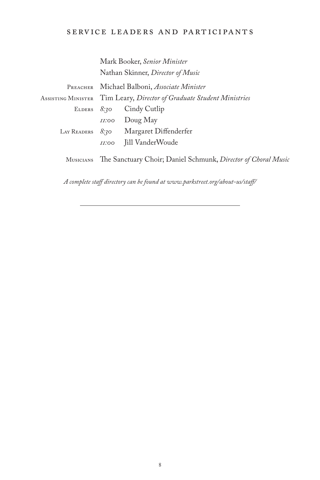# service leaders and participants

|                                                                                   |                                                                       | Mark Booker, Senior Minister             |  |
|-----------------------------------------------------------------------------------|-----------------------------------------------------------------------|------------------------------------------|--|
|                                                                                   | Nathan Skinner, Director of Music                                     |                                          |  |
| PREACHER                                                                          | Michael Balboni, Associate Minister                                   |                                          |  |
|                                                                                   | ASSISTING MINISTER Tim Leary, Director of Graduate Student Ministries |                                          |  |
|                                                                                   |                                                                       | ELDERS 8:30 Cindy Cutlip                 |  |
|                                                                                   |                                                                       | $II:oo$ Doug May                         |  |
|                                                                                   |                                                                       | LAY READERS $8.30$ Margaret Diffenderfer |  |
|                                                                                   | <i>II:</i> 00                                                         | Jill VanderWoude                         |  |
| The Sanctuary Choir; Daniel Schmunk, Director of Choral Music<br><b>MUSICIANS</b> |                                                                       |                                          |  |

*A complete staff directory can be found at www.parkstreet.org/about-us/staff/*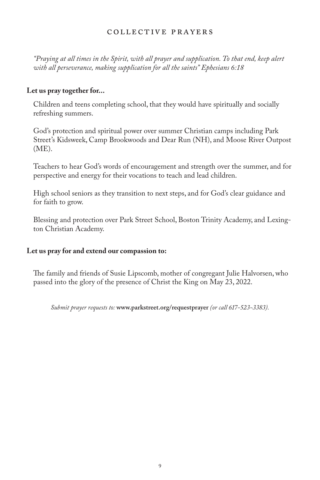## COLLECTIVE PRAYERS

*"Praying at all times in the Spirit, with all prayer and supplication. To that end, keep alert with all perseverance, making supplication for all the saints" Ephesians 6:18*

## **Let us pray together for...**

Children and teens completing school, that they would have spiritually and socially refreshing summers.

God's protection and spiritual power over summer Christian camps including Park Street's Kidsweek, Camp Brookwoods and Dear Run (NH), and Moose River Outpost (ME).

Teachers to hear God's words of encouragement and strength over the summer, and for perspective and energy for their vocations to teach and lead children.

High school seniors as they transition to next steps, and for God's clear guidance and for faith to grow.

Blessing and protection over Park Street School, Boston Trinity Academy, and Lexington Christian Academy.

## **Let us pray for and extend our compassion to:**

The family and friends of Susie Lipscomb, mother of congregant Julie Halvorsen, who passed into the glory of the presence of Christ the King on May 23, 2022.

*Submit prayer requests to:* **www.parkstreet.org/requestprayer** *(or call 617-523-3383).*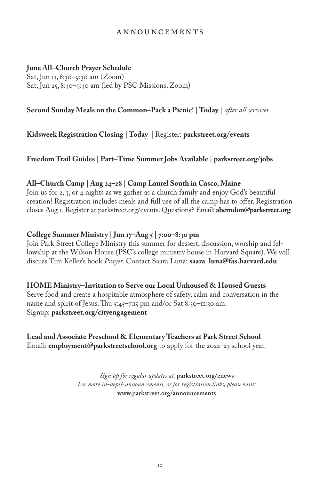## Announcements

## **June All–Church Prayer Schedule**

Sat, Jun 11, 8:30–9:30 am (Zoom) Sat, Jun 25, 8:30–9:30 am (led by PSC Missions, Zoom)

## **Second Sunday Meals on the Common–Pack a Picnic! | Today |** *after all services*

**Kidsweek Registration Closing | Today |** Register: **parkstreet.org/events**

**Freedom Trail Guides | Part–Time Summer Jobs Available | parkstreet.org/jobs**

## **All–Church Camp | Aug 24–28 | Camp Laurel South in Casco, Maine**

Join us for 2, 3, or 4 nights as we gather as a church family and enjoy God's beautiful creation! Registration includes meals and full use of all the camp has to offer. Registration closes Aug 1. Register at parkstreet.org/events. Questions? Email: **aherndon@parkstreet.org**

## **College Summer Ministry | Jun 17–Aug 5 | 7:00–8:30 pm**

Join Park Street College Ministry this summer for dessert, discussion, worship and fellowship at the Wilson House (PSC's college ministry house in Harvard Square). We will discuss Tim Keller's book *Prayer*. Contact Saara Luna: **saara\_luna@fas.harvard.edu**

# **HOME Ministry–Invitation to Serve our Local Unhoused & Housed Guests**

Serve food and create a hospitable atmosphere of safety, calm and conversation in the name and spirit of Jesus. Thu 5:45-7:15 pm and/or Sat 8:30-11:30 am. Signup: **parkstreet.org/cityengagement**

## **Lead and Associate Preschool & Elementary Teachers at Park Street School** Email: **employment@parkstreetschool.org** to apply for the 2022–23 school year.

*Sign up for regular updates at:* **parkstreet.org/enews**  *For more in-depth announcements, or for registration links, please visit:* **www.parkstreet.org/announcements**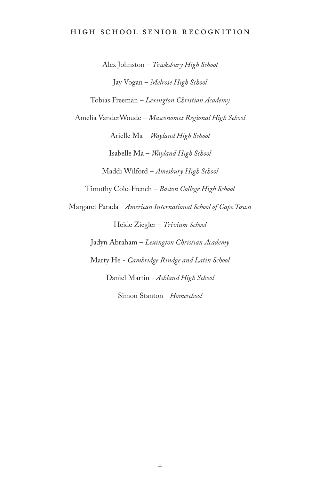## High school senior recognition

Alex Johnston – *Tewksbury High School* Jay Vogan – *Melrose High School* Tobias Freeman – *Lexington Christian Academy* Amelia VanderWoude – *Masconomet Regional High School* Arielle Ma – *Wayland High School* Isabelle Ma – *Wayland High School* Maddi Wilford – *Amesbury High School* Timothy Cole-French – *Boston College High School* Margaret Parada - *American International School of Cape Town* Heide Ziegler – *Trivium School* Jadyn Abraham – *Lexington Christian Academy* Marty He - *Cambridge Rindge and Latin School* Daniel Martin - *Ashland High School* Simon Stanton - *Homeschool*